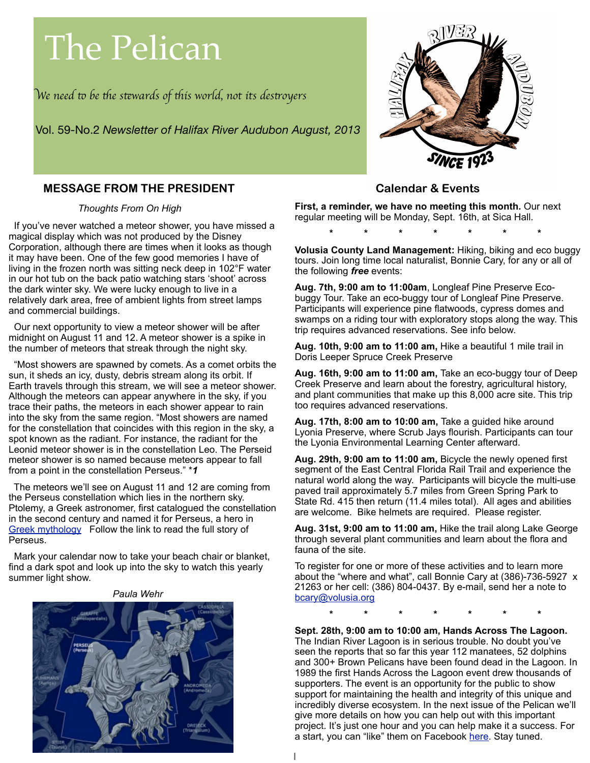# The Pelican

W*e need* " *be* #*e s*\$*wards of* #*is world, not its des*%*oyer*s

Vol. 59-No.2 *Newsletter of Halifax River Audubon August, 2013*



# **MESSAGE FROM THE PRESIDENT**

#### *Thoughts From On High*

If you've never watched a meteor shower, you have missed a magical display which was not produced by the Disney Corporation, although there are times when it looks as though it may have been. One of the few good memories I have of living in the frozen north was sitting neck deep in 102°F water in our hot tub on the back patio watching stars 'shoot' across the dark winter sky. We were lucky enough to live in a relatively dark area, free of ambient lights from street lamps and commercial buildings.

 Our next opportunity to view a meteor shower will be after midnight on August 11 and 12. A meteor shower is a spike in the number of meteors that streak through the night sky.

 "Most showers are spawned by comets. As a comet orbits the sun, it sheds an icy, dusty, debris stream along its orbit. If Earth travels through this stream, we will see a meteor shower. Although the meteors can appear anywhere in the sky, if you trace their paths, the meteors in each shower appear to rain into the sky from the same region. "Most showers are named for the constellation that coincides with this region in the sky, a spot known as the radiant. For instance, the radiant for the Leonid meteor shower is in the constellation Leo. The Perseid meteor shower is so named because meteors appear to fall from a point in the constellation Perseus." \**1*

 The meteors we'll see on August 11 and 12 are coming from the Perseus constellation which lies in the northern sky. Ptolemy, a Greek astronomer, first catalogued the constellation in the second century and named it for Perseus, a hero in [Greek mythology](http://www.constellation-guide.com/constellation-list/perseus-constellation/) Follow the link to read the full story of Perseus.

 Mark your calendar now to take your beach chair or blanket, find a dark spot and look up into the sky to watch this yearly summer light show.

#### *Paula Wehr*



## **Calendar & Events**

**First, a reminder, we have no meeting this month.** Our next regular meeting will be Monday, Sept. 16th, at Sica Hall.

**\* \* \* \* \* \* \***

**Volusia County Land Management:** Hiking, biking and eco buggy tours. Join long time local naturalist, Bonnie Cary, for any or all of the following *free* events:

**Aug. 7th, 9:00 am to 11:00am**, Longleaf Pine Preserve Ecobuggy Tour. Take an eco-buggy tour of Longleaf Pine Preserve. Participants will experience pine flatwoods, cypress domes and swamps on a riding tour with exploratory stops along the way. This trip requires advanced reservations. See info below.

**Aug. 10th, 9:00 am to 11:00 am,** Hike a beautiful 1 mile trail in Doris Leeper Spruce Creek Preserve

**Aug. 16th, 9:00 am to 11:00 am,** Take an eco-buggy tour of Deep Creek Preserve and learn about the forestry, agricultural history, and plant communities that make up this 8,000 acre site. This trip too requires advanced reservations.

**Aug. 17th, 8:00 am to 10:00 am,** Take a guided hike around Lyonia Preserve, where Scrub Jays flourish. Participants can tour the Lyonia Environmental Learning Center afterward.

**Aug. 29th, 9:00 am to 11:00 am,** Bicycle the newly opened first segment of the East Central Florida Rail Trail and experience the natural world along the way. Participants will bicycle the multi-use paved trail approximately 5.7 miles from Green Spring Park to State Rd. 415 then return (11.4 miles total). All ages and abilities are welcome. Bike helmets are required. Please register.

**Aug. 31st, 9:00 am to 11:00 am,** Hike the trail along Lake George through several plant communities and learn about the flora and fauna of the site.

To register for one or more of these activities and to learn more about the "where and what", call Bonnie Cary at (386)-736-5927 x 21263 or her cell: (386) 804-0437. By e-mail, send her a note to [bcary@volusia.org](mailto:bcary@volusia.org)

**\* \* \* \* \* \* \***

**Sept. 28th, 9:00 am to 10:00 am, Hands Across The Lagoon.**  The Indian River Lagoon is in serious trouble. No doubt you've seen the reports that so far this year 112 manatees, 52 dolphins and 300+ Brown Pelicans have been found dead in the Lagoon. In 1989 the first Hands Across the Lagoon event drew thousands of supporters. The event is an opportunity for the public to show support for maintaining the health and integrity of this unique and incredibly diverse ecosystem. In the next issue of the Pelican we'll give more details on how you can help out with this important project. It's just one hour and you can help make it a success. For a start, you can "like" them on Facebook [here.](https://www.facebook.com/pages/Indian-River-Lagoon-News-and-Events/393530587419823) Stay tuned.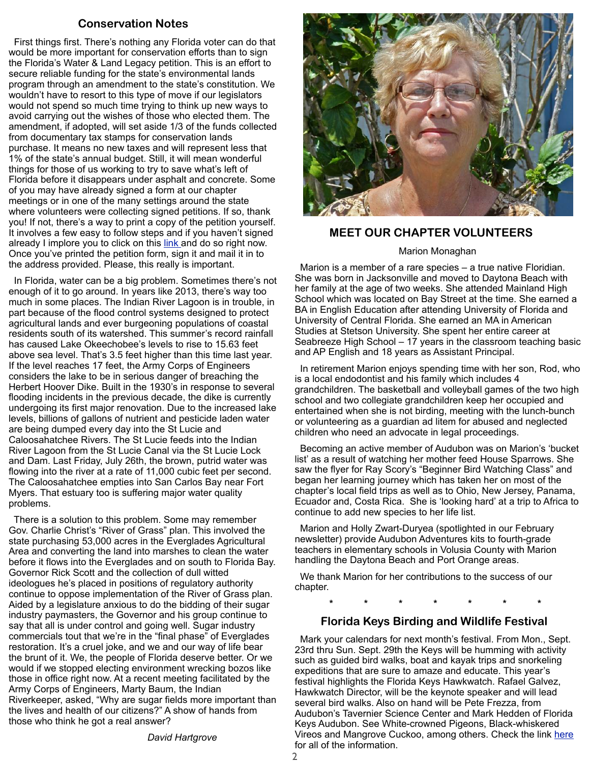# **Conservation Notes**

 First things first. There's nothing any Florida voter can do that would be more important for conservation efforts than to sign the Florida's Water & Land Legacy petition. This is an effort to secure reliable funding for the state's environmental lands program through an amendment to the state's constitution. We wouldn't have to resort to this type of move if our legislators would not spend so much time trying to think up new ways to avoid carrying out the wishes of those who elected them. The amendment, if adopted, will set aside 1/3 of the funds collected from documentary tax stamps for conservation lands purchase. It means no new taxes and will represent less that 1% of the state's annual budget. Still, it will mean wonderful things for those of us working to try to save what's left of Florida before it disappears under asphalt and concrete. Some of you may have already signed a form at our chapter meetings or in one of the many settings around the state where volunteers were collecting signed petitions. If so, thank you! If not, there's a way to print a copy of the petition yourself. It involves a few easy to follow steps and if you haven't signed already I implore you to click on this [link a](http://floridawaterlandlegacy.org/pages/171/audubon-florida-partners-with-the-legacy-campaign/)nd do so right now. Once you've printed the petition form, sign it and mail it in to the address provided. Please, this really is important.

 In Florida, water can be a big problem. Sometimes there's not enough of it to go around. In years like 2013, there's way too much in some places. The Indian River Lagoon is in trouble, in part because of the flood control systems designed to protect agricultural lands and ever burgeoning populations of coastal residents south of its watershed. This summer's record rainfall has caused Lake Okeechobee's levels to rise to 15.63 feet above sea level. That's 3.5 feet higher than this time last year. If the level reaches 17 feet, the Army Corps of Engineers considers the lake to be in serious danger of breaching the Herbert Hoover Dike. Built in the 1930's in response to several flooding incidents in the previous decade, the dike is currently undergoing its first major renovation. Due to the increased lake levels, billions of gallons of nutrient and pesticide laden water are being dumped every day into the St Lucie and Caloosahatchee Rivers. The St Lucie feeds into the Indian River Lagoon from the St Lucie Canal via the St Lucie Lock and Dam. Last Friday, July 26th, the brown, putrid water was flowing into the river at a rate of 11,000 cubic feet per second. The Caloosahatchee empties into San Carlos Bay near Fort Myers. That estuary too is suffering major water quality problems.

 There is a solution to this problem. Some may remember Gov. Charlie Christ's "River of Grass" plan. This involved the state purchasing 53,000 acres in the Everglades Agricultural Area and converting the land into marshes to clean the water before it flows into the Everglades and on south to Florida Bay. Governor Rick Scott and the collection of dull witted ideologues he's placed in positions of regulatory authority continue to oppose implementation of the River of Grass plan. Aided by a legislature anxious to do the bidding of their sugar industry paymasters, the Governor and his group continue to say that all is under control and going well. Sugar industry commercials tout that we're in the "final phase" of Everglades restoration. It's a cruel joke, and we and our way of life bear the brunt of it. We, the people of Florida deserve better. Or we would if we stopped electing environment wrecking bozos like those in office right now. At a recent meeting facilitated by the Army Corps of Engineers, Marty Baum, the Indian Riverkeeper, asked, "Why are sugar fields more important than the lives and health of our citizens?" A show of hands from those who think he got a real answer?

*David Hartgrove*



## **MEET OUR CHAPTER VOLUNTEERS**

#### Marion Monaghan

 Marion is a member of a rare species – a true native Floridian. She was born in Jacksonville and moved to Daytona Beach with her family at the age of two weeks. She attended Mainland High School which was located on Bay Street at the time. She earned a BA in English Education after attending University of Florida and University of Central Florida. She earned an MA in American Studies at Stetson University. She spent her entire career at Seabreeze High School – 17 years in the classroom teaching basic and AP English and 18 years as Assistant Principal.

 In retirement Marion enjoys spending time with her son, Rod, who is a local endodontist and his family which includes 4 grandchildren. The basketball and volleyball games of the two high school and two collegiate grandchildren keep her occupied and entertained when she is not birding, meeting with the lunch-bunch or volunteering as a guardian ad litem for abused and neglected children who need an advocate in legal proceedings.

 Becoming an active member of Audubon was on Marion's 'bucket list' as a result of watching her mother feed House Sparrows. She saw the flyer for Ray Scory's "Beginner Bird Watching Class" and began her learning journey which has taken her on most of the chapter's local field trips as well as to Ohio, New Jersey, Panama, Ecuador and, Costa Rica. She is 'looking hard' at a trip to Africa to continue to add new species to her life list.

 Marion and Holly Zwart-Duryea (spotlighted in our February newsletter) provide Audubon Adventures kits to fourth-grade teachers in elementary schools in Volusia County with Marion handling the Daytona Beach and Port Orange areas.

 We thank Marion for her contributions to the success of our chapter.

**\* \* \* \* \* \* \***

#### **Florida Keys Birding and Wildlife Festival**

 Mark your calendars for next month's festival. From Mon., Sept. 23rd thru Sun. Sept. 29th the Keys will be humming with activity such as guided bird walks, boat and kayak trips and snorkeling expeditions that are sure to amaze and educate. This year's festival highlights the Florida Keys Hawkwatch. Rafael Galvez, Hawkwatch Director, will be the keynote speaker and will lead several bird walks. Also on hand will be Pete Frezza, from Audubon's Tavernier Science Center and Mark Hedden of Florida Keys Audubon. See White-crowned Pigeons, Black-whiskered Vireos and Mangrove Cuckoo, among others. Check the link [here](http://keysbirdingfest.org/) for all of the information.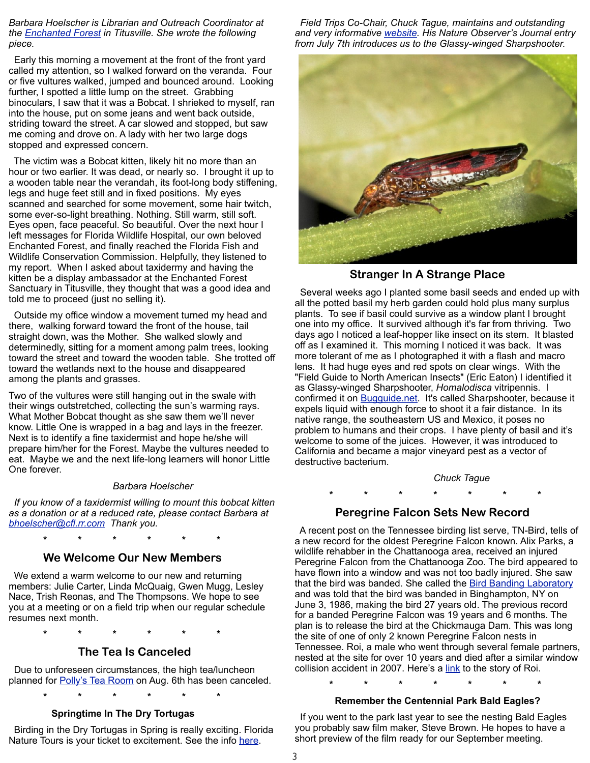*Barbara Hoelscher is Librarian and Outreach Coordinator at the [Enchanted Forest](http://www.brevardcounty.us/EELProgram/Areas/EnchantedForestSanctuary) in Titusville. She wrote the following piece.*

 Early this morning a movement at the front of the front yard called my attention, so I walked forward on the veranda. Four or five vultures walked, jumped and bounced around. Looking further, I spotted a little lump on the street. Grabbing binoculars, I saw that it was a Bobcat. I shrieked to myself, ran into the house, put on some jeans and went back outside, striding toward the street. A car slowed and stopped, but saw me coming and drove on. A lady with her two large dogs stopped and expressed concern.

 The victim was a Bobcat kitten, likely hit no more than an hour or two earlier. It was dead, or nearly so. I brought it up to a wooden table near the verandah, its foot-long body stiffening, legs and huge feet still and in fixed positions. My eyes scanned and searched for some movement, some hair twitch, some ever-so-light breathing. Nothing. Still warm, still soft. Eyes open, face peaceful. So beautiful. Over the next hour I left messages for Florida Wildlife Hospital, our own beloved Enchanted Forest, and finally reached the Florida Fish and Wildlife Conservation Commission. Helpfully, they listened to my report. When I asked about taxidermy and having the kitten be a display ambassador at the Enchanted Forest Sanctuary in Titusville, they thought that was a good idea and told me to proceed (just no selling it).

 Outside my office window a movement turned my head and there, walking forward toward the front of the house, tail straight down, was the Mother. She walked slowly and determinedly, sitting for a moment among palm trees, looking toward the street and toward the wooden table. She trotted off toward the wetlands next to the house and disappeared among the plants and grasses.

Two of the vultures were still hanging out in the swale with their wings outstretched, collecting the sun's warming rays. What Mother Bobcat thought as she saw them we'll never know. Little One is wrapped in a bag and lays in the freezer. Next is to identify a fine taxidermist and hope he/she will prepare him/her for the Forest. Maybe the vultures needed to eat. Maybe we and the next life-long learners will honor Little One forever.

#### *Barbara Hoelscher*

 *If you know of a taxidermist willing to mount this bobcat kitten as a donation or at a reduced rate, please contact Barbara at [bhoelscher@cfl.rr.com](mailto:bhoelscher@cfl.rr.com) Thank you.*

#### **We Welcome Our New Members**

 **\* \* \* \* \* \*** 

 We extend a warm welcome to our new and returning members: Julie Carter, Linda McQuaig, Gwen Mugg, Lesley Nace, Trish Reonas, and The Thompsons. We hope to see you at a meeting or on a field trip when our regular schedule resumes next month.

 **\* \* \* \* \* \***

#### **The Tea Is Canceled**

 Due to unforeseen circumstances, the high tea/luncheon planned for **Polly's Tea Room** on Aug. 6th has been canceled.

**\* \* \* \* \* \***

#### **Springtime In The Dry Tortugas**

 Birding in the Dry Tortugas in Spring is really exciting. Florida Nature Tours is your ticket to excitement. See the info [here.](http://floridanaturetours.net/index.php/birding-tours/dry-tortugas-2012)

 *Field Trips Co-Chair, Chuck Tague, maintains and outstanding and very informative [website.](http://ctague.pairserver.com/Natureobserver/Welcome.html) His Nature Observer's Journal entry from July 7th introduces us to the Glassy-winged Sharpshooter.* 



 **Stranger In A Strange Place**

 Several weeks ago I planted some basil seeds and ended up with all the potted basil my herb garden could hold plus many surplus plants. To see if basil could survive as a window plant I brought one into my office. It survived although it's far from thriving. Two days ago I noticed a leaf-hopper like insect on its stem. It blasted off as I examined it. This morning I noticed it was back. It was more tolerant of me as I photographed it with a flash and macro lens. It had huge eyes and red spots on clear wings. With the "Field Guide to North American Insects" (Eric Eaton) I identified it as Glassy-winged Sharpshooter, *Homalodisca* vitripennis. I confirmed it on [Bugguide.net.](http://bugguide.net/node/view/15740) It's called Sharpshooter, because it expels liquid with enough force to shoot it a fair distance. In its native range, the southeastern US and Mexico, it poses no problem to humans and their crops. I have plenty of basil and it's welcome to some of the juices. However, it was introduced to California and became a major vineyard pest as a vector of destructive bacterium.

*Chuck Tague*

# **\* \* \* \* \* \* \***

 **Peregrine Falcon Sets New Record**

 A recent post on the Tennessee birding list serve, TN-Bird, tells of a new record for the oldest Peregrine Falcon known. Alix Parks, a wildlife rehabber in the Chattanooga area, received an injured Peregrine Falcon from the Chattanooga Zoo. The bird appeared to have flown into a window and was not too badly injured. She saw that the bird was banded. She called the [Bird Banding Laboratory](http://www.pwrc.usgs.gov/bbl/) and was told that the bird was banded in Binghampton, NY on June 3, 1986, making the bird 27 years old. The previous record for a banded Peregrine Falcon was 19 years and 6 months. The plan is to release the bird at the Chickmauga Dam. This was long the site of one of only 2 known Peregrine Falcon nests in Tennessee. Roi, a male who went through several female partners, nested at the site for over 10 years and died after a similar window collision accident in 2007. Here's a [link](http://www.chattanoogan.com/2007/7/15/110131/Roi-Is-Gone.aspx) to the story of Roi.

**\* \* \* \* \* \* \***

#### **Remember the Centennial Park Bald Eagles?**

 If you went to the park last year to see the nesting Bald Eagles you probably saw film maker, Steve Brown. He hopes to have a short preview of the film ready for our September meeting.